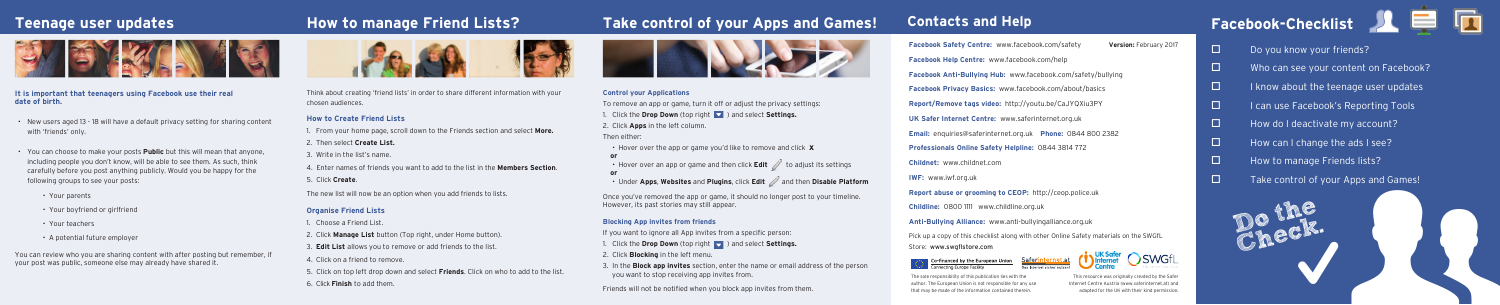# **How to manage Friend Lists?**





- $\Box$  Do you know your friends?
- $\square$  Who can see your content on Facebook?
- $\Box$  I know about the teenage user updates
- $\Box$  I can use Facebook's Reporting Tools
- $\Box$  How do I deactivate my account?
- $\Box$  How can I change the ads I see?
- $\Box$  How to manage Friends lists?
- $\Box$  Take control of your Apps and Games!



**Childnet:** www.childnet.com **IWF:** www.iwf.org.uk **Childline:** 0800 1111 www.childline.org.uk

> Co-financed by the European Union Connecting Europe Facility

- **Facebook Safety Centre:** www.facebook.com/safety **Facebook Help Centre:** www.facebook.com/help **Version:** February 2017
- **Facebook Anti-Bullying Hub:** www.facebook.com/safety/bullying
- **Facebook Privacy Basics:** www.facebook.com/about/basics
- **Report/Remove tags video:** http://youtu.be/CaJYQXiu3PY
- **UK Safer Internet Centre:** www.saferinternet.org.uk
- **Email:** enquiries@saferinternet.org.uk **Phone:** 0844 800 2382
- **Professionals Online Safety Helpline:** 0844 3814 772
	-
- **Report abuse or grooming to CEOP:** http://ceop.police.uk
	-
- **Anti-Bullying Alliance:** www.anti-bullyingalliance.org.uk
- Pick up a copy of this checklist along with other Online Safety materials on the SWGfL
- Store: www.swgflstore.com





- Hover over the app or game you'd like to remove and click **x or** • Hover over an app or game and then click **Edit** to adjust its settings **or**
	-
- Under Apps, Websites and Plugins, click Edit and then Disable Platform

Think about creating 'friend lists' in order to share different information with your chosen audiences.

### **How to Create Friend Lists**

1. From your home page, scroll down to the Friends section and select **More.**

- 1. Click the **Drop Down** (top right **details)** and select **Settings.**
- 2. Click **Blocking** in the left menu.
- 3. In the **Block app invites** section, enter the name or email address of the person you want to stop receiving app invites from.
- 2. Then select **Create List.**
- 3. Write in the list's name.
- 4. Enter names of friends you want to add to the list in the **Members Section**.
- 5. Click **Create**.

The new list will now be an option when you add friends to lists.

### **Organise Friend Lists**

1. Choose a Friend List.

- 2. Click **Manage List** button (Top right, under Home button).
- 3. **Edit List** allows you to remove or add friends to the list.
- 4. Click on a friend to remove.
- 5. Click on top left drop down and select **Friends**. Click on who to add to the list.
- 6. Click **Finish** to add them.

# **Take control of your Apps and Games!**



### **Control your Applications**

To remove an app or game, turn it off or adjust the privacy settings:

1. Click the **Drop Down** (top right ) and select **Settings.**

2. Click **Apps** in the left column.

### Then either:

Once you've removed the app or game, it should no longer post to your timeline. However, its past stories may still appear.

### **Blocking App invites from friends**

If you want to ignore all App invites from a specific person:

Friends will not be notified when you block app invites from them.

# **Teenage user updates**



- **It is important that teenagers using Facebook use their real date of birth.**
- New users aged 13 18 will have a default privacy setting for sharing content with 'friends' only.
- You can choose to make your posts **Public** but this will mean that anyone, including people you don't know, will be able to see them. As such, think carefully before you post anything publicly. Would you be happy for the following groups to see your posts:
	- Your parents
	- Your boyfriend or girlfriend
	- Your teachers
	- A potential future employer

You can review who you are sharing content with after posting but remember, if your post was public, someone else may already have shared it.

> This resource was originally created by the Safer Internet Centre Austria (www.saferinternet.at) and adapted for the UK with their kind permission.

The sole responsibility of this publication lies with the author. The European Union is not responsible for any use that may be made of the information contained therein.